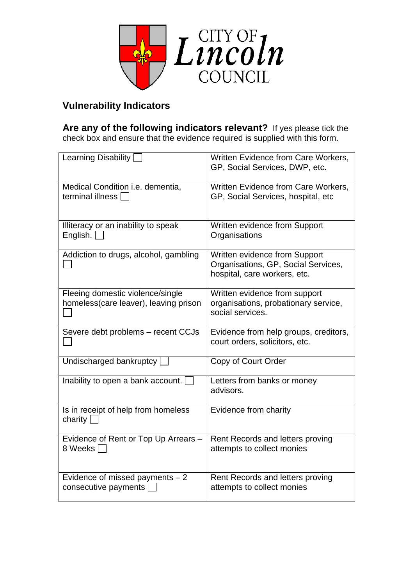

## **Vulnerability Indicators**

**Are any of the following indicators relevant?** If yes please tick the check box and ensure that the evidence required is supplied with this form.

| Learning Disability [                                                     | Written Evidence from Care Workers,<br>GP, Social Services, DWP, etc.                                |
|---------------------------------------------------------------------------|------------------------------------------------------------------------------------------------------|
| Medical Condition i.e. dementia,<br>terminal illness                      | Written Evidence from Care Workers,<br>GP, Social Services, hospital, etc                            |
| Illiteracy or an inability to speak<br>English.                           | Written evidence from Support<br>Organisations                                                       |
| Addiction to drugs, alcohol, gambling                                     | Written evidence from Support<br>Organisations, GP, Social Services,<br>hospital, care workers, etc. |
| Fleeing domestic violence/single<br>homeless(care leaver), leaving prison | Written evidence from support<br>organisations, probationary service,<br>social services.            |
| Severe debt problems - recent CCJs                                        | Evidence from help groups, creditors,<br>court orders, solicitors, etc.                              |
| Undischarged bankruptcy                                                   | Copy of Court Order                                                                                  |
| Inability to open a bank account.                                         | Letters from banks or money<br>advisors.                                                             |
| Is in receipt of help from homeless<br>charity $\sqrt{ }$                 | Evidence from charity                                                                                |
| Evidence of Rent or Top Up Arrears -<br>8 Weeks                           | Rent Records and letters proving<br>attempts to collect monies                                       |
| Evidence of missed payments $-2$<br>consecutive payments                  | Rent Records and letters proving<br>attempts to collect monies                                       |